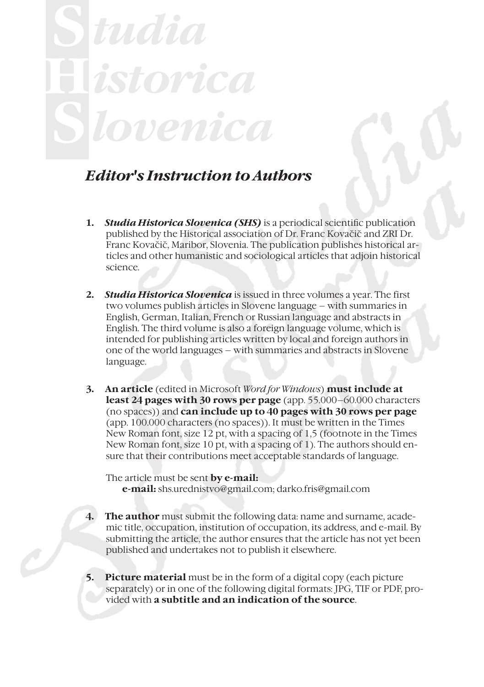# **H** *tudia istorica lovenica*

#### *Editor's Instruction to Authors*

- **1.** *Studia Historica Slovenica (SHS)* is a periodical scientific publication published by the Historical association of Dr. Franc Kovačič and ZRI Dr. Franc Kovačič, Maribor, Slovenia. The publication publishes historical articles and other humanistic and sociological articles that adjoin historical science.
- **2.** *Studia Historica Slovenica* is issued in three volumes a year. The first two volumes publish articles in Slovene language – with summaries in English, German, Italian, French or Russian language and abstracts in English. The third volume is also a foreign language volume, which is intended for publishing articles written by local and foreign authors in one of the world languages – with summaries and abstracts in Slovene language.
- **3. An article** (edited in Microsoft *Word for Windows*) **must include at least 24 pages with 30 rows per page** (app. 55.000–60.000 characters (no spaces)) and **can include up to 40 pages with 30 rows per page** (app. 100.000 characters (no spaces)). It must be written in the Times New Roman font, size 12 pt, with a spacing of 1,5 (footnote in the Times New Roman font, size 10 pt, with a spacing of 1). The authors should ensure that their contributions meet acceptable standards of language.

The article must be sent **by e-mail: e-mail:** shs.urednistvo@gmail.com; darko.fris@gmail.com

- **4. The author** must submit the following data: name and surname, academic title, occupation, institution of occupation, its address, and e-mail. By submitting the article, the author ensures that the article has not yet been published and undertakes not to publish it elsewhere.
- **5. Picture material** must be in the form of a digital copy (each picture separately) or in one of the following digital formats: JPG, TIF or PDF, provided with **a subtitle and an indication of the source**.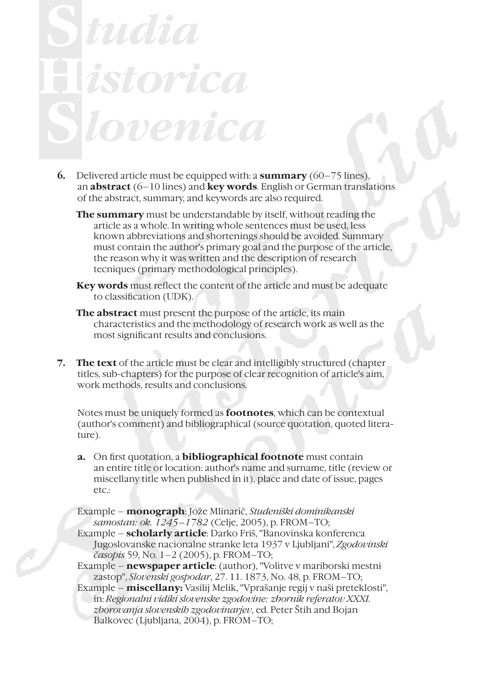#### **H** *tudia istorica lovenica*

- **6.** Delivered article must be equipped with: a **summary** (60–75 lines), an **abstract** (6–10 lines) and **key words**. English or German translations of the abstract, summary, and keywords are also required.
	- **The summary** must be understandable by itself, without reading the article as a whole. In writing whole sentences must be used, less known abbreviations and shortenings should be avoided. Summary must contain the author's primary goal and the purpose of the article, the reason why it was written and the description of research tecniques (primary methodological principles).
	- **Key words** must reflect the content of the article and must be adequate to classification (UDK).
	- **The abstract** must present the purpose of the article, its main characteristics and the methodology of research work as well as the most significant results and conclusions.
- **7. The text** of the article must be clear and intelligibly structured (chapter titles, sub-chapters) for the purpose of clear recognition of article's aim, work methods, results and conclusions.

Notes must be uniquely formed as **footnotes**, which can be contextual (author's comment) and bibliographical (source quotation, quoted literature).

**a.** On first quotation, a **bibliographical footnote** must contain an entire title or location: author's name and surname, title (review or miscellany title when published in it), place and date of issue, pages etc.:

Example – **monograph**: Jože Mlinarič, *Studeniški dominikanski samostan: ok. 1245–1782* (Celje, 2005), p. FROM–TO;

Example – **scholarly article**: Darko Friš, "Banovinska konferenca Jugoslovanske nacionalne stranke leta 1937 v Ljubljani", *Zgodovinski časopis* 59, No. 1–2 (2005), p. FROM–TO;

Example – **newspaper article**: (author), "Volitve v mariborski mestni zastop", *Slovenski gospodar*, 27. 11. 1873, No. 48, p. FROM–TO;

Example – **miscellany:** Vasilij Melik, "Vprašanje regij v naši preteklosti", in: *Regionalni vidiki slovenske zgodovine: zbornik referatov XXXI. zborovanja slovenskih zgodovinarjev*, ed. Peter Štih and Bojan Balkovec (Ljubljana, 2004), p. FROM–TO;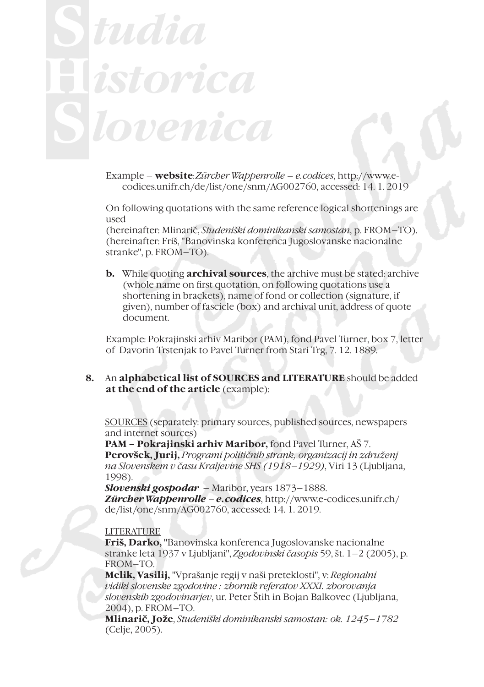## **H** *tudia istorica lovenica*

Example – **website**:*Zürcher Wappenrolle – e.codices*, http://www.ecodices.unifr.ch/de/list/one/snm/AG002760, accessed: 14. 1. 2019

On following quotations with the same reference logical shortenings are used

(hereinafter: Mlinarič, *Studeniški dominikanski samostan*, p. FROM–TO). (hereinafter: Friš, "Banovinska konferenca Jugoslovanske nacionalne stranke", p. FROM–TO).

**b.** While quoting **archival sources**, the archive must be stated: archive (whole name on first quotation, on following quotations use a shortening in brackets), name of fond or collection (signature, if given), number of fascicle (box) and archival unit, address of quote document.

Example: Pokrajinski arhiv Maribor (PAM), fond Pavel Turner, box 7, letter of Davorin Trstenjak to Pavel Turner from Stari Trg, 7. 12. 1889.

**8.** An **alphabetical list of SOURCES and LITERATURE** should be added **at the end of the article** (example):

SOURCES (separately: primary sources, published sources, newspapers and internet sources)

**PAM – Pokrajinski arhiv Maribor,** fond Pavel Turner, AŠ 7. **Perovšek, Jurij,** *Programi političnih strank, organizacij in združenj na Slovenskem v času Kraljevine SHS (1918–1929)*, Viri 13 (Ljubljana, 1998).

*Slovenski gospodar* – Maribor, years 1873–1888. *Zürcher Wappenrolle – e.codices*, http://www.e-codices.unifr.ch/ de/list/one/snm/AG002760, accessed: 14. 1. 2019.

#### LITERATURE

**Friš, Darko,** "Banovinska konferenca Jugoslovanske nacionalne stranke leta 1937 v Ljubljani", *Zgodovinski časopis* 59, št. 1–2 (2005), p. FROM–TO.

**Melik, Vasilij,** "Vprašanje regij v naši preteklosti", v: *Regionalni vidiki slovenske zgodovine : zbornik referatov XXXI. zborovanja slovenskih zgodovinarjev*, ur. Peter Štih in Bojan Balkovec (Ljubljana, 2004), p. FROM–TO.

**Mlinarič, Jože**, *Studeniški dominikanski samostan: ok. 1245*–*1782* (Celje, 2005).